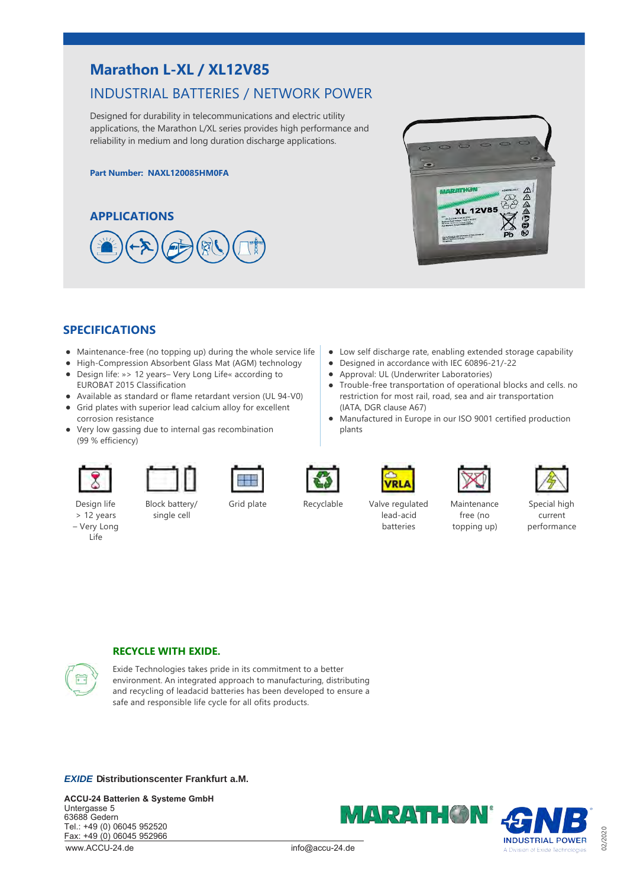# **Marathon L‐XL / XL12V85**

# INDUSTRIAL BATTERIES / NETWORK POWER

Designed for durability in telecommunications and electric utility applications, the Marathon L/XL series provides high performance and reliability in medium and long duration discharge applications.

#### **Part Number: NAXL120085HM0FA**





### **SPECIFICATIONS**

- Maintenance-free (no topping up) during the whole service life
- High-Compression Absorbent Glass Mat (AGM) technology
- Design life: »> 12 years– Very Long Life« according to EUROBAT 2015 Classification
- Available as standard or flame retardant version (UL 94-V0)
- Grid plates with superior lead calcium alloy for excellent corrosion resistance
- Very low gassing due to internal gas recombination (99 % efficiency)



Design life > 12 years – Very Long Life

single cell

Block battery/



plants



(IATA, DGR clause A67)

Low self discharge rate, enabling extended storage capability

Trouble‐free transportation of operational blocks and cells. no restriction for most rail, road, sea and air transportation

Manufactured in Europe in our ISO 9001 certified production

● Designed in accordance with IEC 60896-21/-22 • Approval: UL (Underwriter Laboratories)



Special high current performance

02/2020



lead‐acid **batteries** 

Maintenance free (no topping up)

## **RECYCLE WITH EXIDE.**



Exide Technologies takes pride in its commitment to a better environment. An integrated approach to manufacturing, distributing and recycling of leadacid batteries has been developed to ensure a safe and responsible life cycle for all ofits products.

*EXIDE* **Distributionscenter Frankfurt a . M .**

**ACCU-24 Batterien & Systeme GmbH** Untergasse 5 63688 Gedern Tel.: +49 (0) 06045 952520 Fax: +49 (0) 06045 952966 www.ACCU-24.de



info@accu-24.de